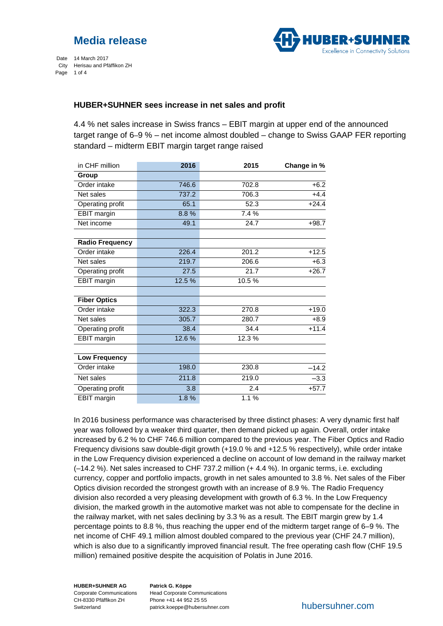

Date 14 March 2017 City Herisau and Pfäffikon ZH Page 1 of 4

### **HUBER+SUHNER sees increase in net sales and profit**

4.4 % net sales increase in Swiss francs – EBIT margin at upper end of the announced target range of 6–9 % – net income almost doubled – change to Swiss GAAP FER reporting standard – midterm EBIT margin target range raised

| in CHF million         | 2016   | 2015  | Change in % |
|------------------------|--------|-------|-------------|
| Group                  |        |       |             |
| Order intake           | 746.6  | 702.8 | $+6.2$      |
| Net sales              | 737.2  | 706.3 | $+4.4$      |
| Operating profit       | 65.1   | 52.3  | $+24.4$     |
| <b>EBIT</b> margin     | 8.8%   | 7.4 % |             |
| Net income             | 49.1   | 24.7  | $+98.7$     |
| <b>Radio Frequency</b> |        |       |             |
| Order intake           | 226.4  | 201.2 | $+12.5$     |
| Net sales              | 219.7  | 206.6 | $+6.3$      |
| Operating profit       | 27.5   | 21.7  | $+26.7$     |
| <b>EBIT</b> margin     | 12.5 % | 10.5% |             |
| <b>Fiber Optics</b>    |        |       |             |
| Order intake           | 322.3  | 270.8 | $+19.0$     |
| Net sales              | 305.7  | 280.7 | $+8.9$      |
| Operating profit       | 38.4   | 34.4  | $+11.4$     |
| <b>EBIT</b> margin     | 12.6%  | 12.3% |             |
|                        |        |       |             |
| <b>Low Frequency</b>   |        |       |             |
| Order intake           | 198.0  | 230.8 | $-14.2$     |
| Net sales              | 211.8  | 219.0 | $-3.3$      |
| Operating profit       | 3.8    | 2.4   | $+57.7$     |
| EBIT margin            | 1.8%   | 1.1%  |             |

In 2016 business performance was characterised by three distinct phases: A very dynamic first half year was followed by a weaker third quarter, then demand picked up again. Overall, order intake increased by 6.2 % to CHF 746.6 million compared to the previous year. The Fiber Optics and Radio Frequency divisions saw double-digit growth (+19.0 % and +12.5 % respectively), while order intake in the Low Frequency division experienced a decline on account of low demand in the railway market (–14.2 %). Net sales increased to CHF 737.2 million (+ 4.4 %). In organic terms, i.e. excluding currency, copper and portfolio impacts, growth in net sales amounted to 3.8 %. Net sales of the Fiber Optics division recorded the strongest growth with an increase of 8.9 %. The Radio Frequency division also recorded a very pleasing development with growth of 6.3 %. In the Low Frequency division, the marked growth in the automotive market was not able to compensate for the decline in the railway market, with net sales declining by 3.3 % as a result. The EBIT margin grew by 1.4 percentage points to 8.8 %, thus reaching the upper end of the midterm target range of 6–9 %. The net income of CHF 49.1 million almost doubled compared to the previous year (CHF 24.7 million), which is also due to a significantly improved financial result. The free operating cash flow (CHF 19.5) million) remained positive despite the acquisition of Polatis in June 2016.

**HUBER+SUHNER AG** Corporate Communications CH-8330 Pfäffikon ZH Switzerland

**Patrick G. Köppe** Head Corporate Communications Phone +41 44 952 25 55 patrick.koeppe@hubersuhner.com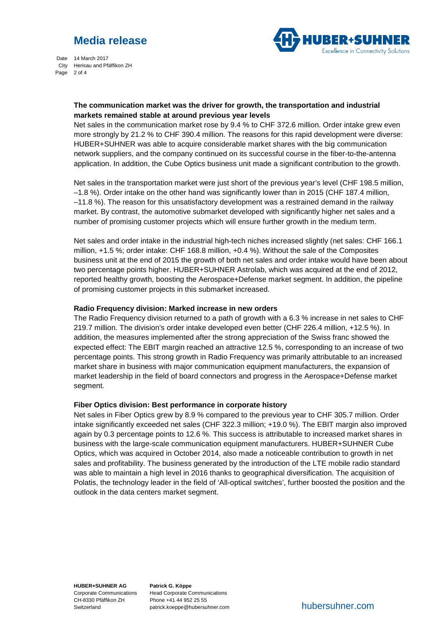# **Media release**



Date 14 March 2017 City Herisau and Pfäffikon ZH Page 2 of 4

#### **The communication market was the driver for growth, the transportation and industrial markets remained stable at around previous year levels**

Net sales in the communication market rose by 9.4 % to CHF 372.6 million. Order intake grew even more strongly by 21.2 % to CHF 390.4 million. The reasons for this rapid development were diverse: HUBER+SUHNER was able to acquire considerable market shares with the big communication network suppliers, and the company continued on its successful course in the fiber-to-the-antenna application. In addition, the Cube Optics business unit made a significant contribution to the growth.

Net sales in the transportation market were just short of the previous year's level (CHF 198.5 million, –1.8 %). Order intake on the other hand was significantly lower than in 2015 (CHF 187.4 million, –11.8 %). The reason for this unsatisfactory development was a restrained demand in the railway market. By contrast, the automotive submarket developed with significantly higher net sales and a number of promising customer projects which will ensure further growth in the medium term.

Net sales and order intake in the industrial high-tech niches increased slightly (net sales: CHF 166.1 million, +1.5 %; order intake: CHF 168.8 million, +0.4 %). Without the sale of the Composites business unit at the end of 2015 the growth of both net sales and order intake would have been about two percentage points higher. HUBER+SUHNER Astrolab, which was acquired at the end of 2012, reported healthy growth, boosting the Aerospace+Defense market segment. In addition, the pipeline of promising customer projects in this submarket increased.

#### **Radio Frequency division: Marked increase in new orders**

The Radio Frequency division returned to a path of growth with a 6.3 % increase in net sales to CHF 219.7 million. The division's order intake developed even better (CHF 226.4 million, +12.5 %). In addition, the measures implemented after the strong appreciation of the Swiss franc showed the expected effect: The EBIT margin reached an attractive 12.5 %, corresponding to an increase of two percentage points. This strong growth in Radio Frequency was primarily attributable to an increased market share in business with major communication equipment manufacturers, the expansion of market leadership in the field of board connectors and progress in the Aerospace+Defense market segment.

#### **Fiber Optics division: Best performance in corporate history**

Net sales in Fiber Optics grew by 8.9 % compared to the previous year to CHF 305.7 million. Order intake significantly exceeded net sales (CHF 322.3 million; +19.0 %). The EBIT margin also improved again by 0.3 percentage points to 12.6 %. This success is attributable to increased market shares in business with the large-scale communication equipment manufacturers. HUBER+SUHNER Cube Optics, which was acquired in October 2014, also made a noticeable contribution to growth in net sales and profitability. The business generated by the introduction of the LTE mobile radio standard was able to maintain a high level in 2016 thanks to geographical diversification. The acquisition of Polatis, the technology leader in the field of 'All-optical switches', further boosted the position and the outlook in the data centers market segment.

**HUBER+SUHNER AG** Corporate Communications CH-8330 Pfäffikon ZH Switzerland

**Patrick G. Köppe** Head Corporate Communications Phone +41 44 952 25 55 patrick.koeppe@hubersuhner.com

hubersuhner.com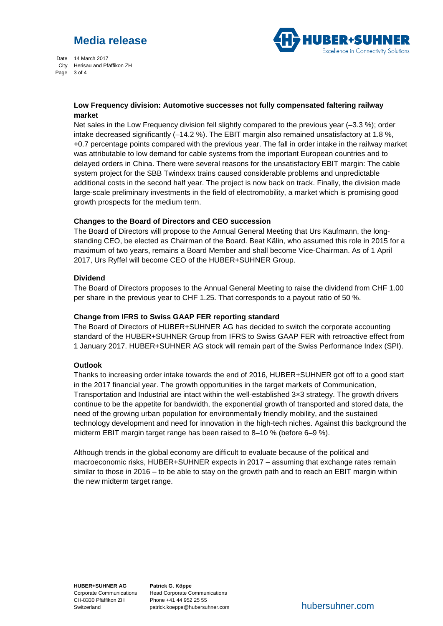# **Media release**



Date 14 March 2017 City Herisau and Pfäffikon ZH Page 3 of 4

#### **Low Frequency division: Automotive successes not fully compensated faltering railway market**

Net sales in the Low Frequency division fell slightly compared to the previous year (–3.3 %); order intake decreased significantly (–14.2 %). The EBIT margin also remained unsatisfactory at 1.8 %, +0.7 percentage points compared with the previous year. The fall in order intake in the railway market was attributable to low demand for cable systems from the important European countries and to delayed orders in China. There were several reasons for the unsatisfactory EBIT margin: The cable system project for the SBB Twindexx trains caused considerable problems and unpredictable additional costs in the second half year. The project is now back on track. Finally, the division made large-scale preliminary investments in the field of electromobility, a market which is promising good growth prospects for the medium term.

#### **Changes to the Board of Directors and CEO succession**

The Board of Directors will propose to the Annual General Meeting that Urs Kaufmann, the longstanding CEO, be elected as Chairman of the Board. Beat Kälin, who assumed this role in 2015 for a maximum of two years, remains a Board Member and shall become Vice-Chairman. As of 1 April 2017, Urs Ryffel will become CEO of the HUBER+SUHNER Group.

### **Dividend**

The Board of Directors proposes to the Annual General Meeting to raise the dividend from CHF 1.00 per share in the previous year to CHF 1.25. That corresponds to a payout ratio of 50 %.

#### **Change from IFRS to Swiss GAAP FER reporting standard**

The Board of Directors of HUBER+SUHNER AG has decided to switch the corporate accounting standard of the HUBER+SUHNER Group from IFRS to Swiss GAAP FER with retroactive effect from 1 January 2017. HUBER+SUHNER AG stock will remain part of the Swiss Performance Index (SPI).

### **Outlook**

Thanks to increasing order intake towards the end of 2016, HUBER+SUHNER got off to a good start in the 2017 financial year. The growth opportunities in the target markets of Communication, Transportation and Industrial are intact within the well-established 3×3 strategy. The growth drivers continue to be the appetite for bandwidth, the exponential growth of transported and stored data, the need of the growing urban population for environmentally friendly mobility, and the sustained technology development and need for innovation in the high-tech niches. Against this background the midterm EBIT margin target range has been raised to 8–10 % (before 6–9 %).

Although trends in the global economy are difficult to evaluate because of the political and macroeconomic risks, HUBER+SUHNER expects in 2017 – assuming that exchange rates remain similar to those in 2016 – to be able to stay on the growth path and to reach an EBIT margin within the new midterm target range.

**HUBER+SUHNER AG** Corporate Communications CH-8330 Pfäffikon ZH Switzerland

**Patrick G. Köppe** Head Corporate Communications Phone +41 44 952 25 55 patrick.koeppe@hubersuhner.com

hubersuhner.com